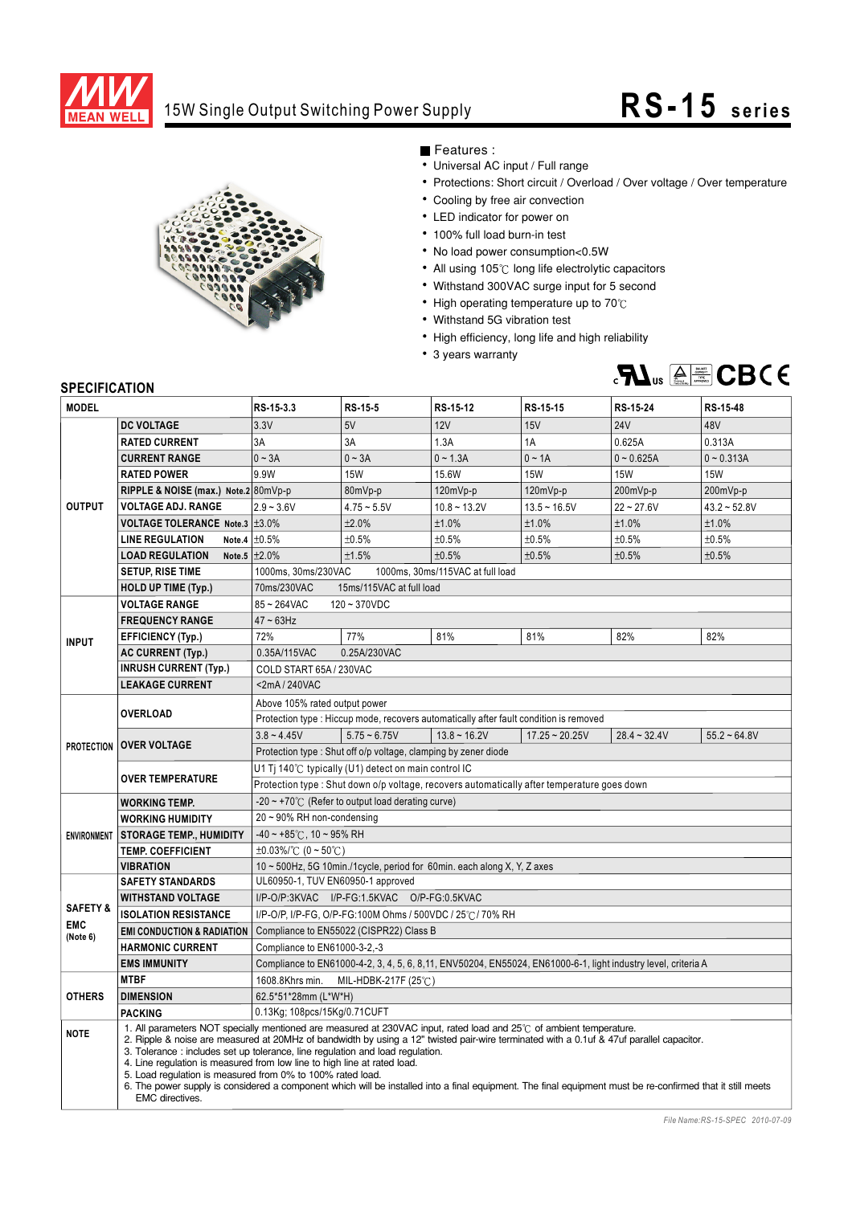

## 15W Single Output Switching Power Supply **RS-15** series



Features :

- Universal AC input / Full range
- Protections: Short circuit / Overload / Over voltage / Over temperature
- Cooling by free air convection
- LED indicator for power on
- 100% full load burn-in test
- No load power consumption<0.5W
- All using  $105^\circ\text{C}$  long life electrolytic capacitors
- Withstand 300VAC surge input for 5 second
- $\cdot$  High operating temperature up to 70 $^\circ$ C
- Withstand 5G vibration test
- High efficiency, long life and high reliability
- 3 years warranty



## **SPECIFICATION**

| <b>MODEL</b>                                  |                                                                                                                                                                                                                                                                                                                                                                                                                                                                                                                                                                                                                                                                             | RS-15-3.3                                                                                                      | RS-15-5        | RS-15-12       | RS-15-15         | RS-15-24       | RS-15-48       |
|-----------------------------------------------|-----------------------------------------------------------------------------------------------------------------------------------------------------------------------------------------------------------------------------------------------------------------------------------------------------------------------------------------------------------------------------------------------------------------------------------------------------------------------------------------------------------------------------------------------------------------------------------------------------------------------------------------------------------------------------|----------------------------------------------------------------------------------------------------------------|----------------|----------------|------------------|----------------|----------------|
| <b>OUTPUT</b>                                 | <b>DC VOLTAGE</b>                                                                                                                                                                                                                                                                                                                                                                                                                                                                                                                                                                                                                                                           | 3.3V                                                                                                           | 5V             | 12V            | 15V              | <b>24V</b>     | 48V            |
|                                               | <b>RATED CURRENT</b>                                                                                                                                                                                                                                                                                                                                                                                                                                                                                                                                                                                                                                                        | 3A                                                                                                             | 3A             | 1.3A           | 1A               | 0.625A         | 0.313A         |
|                                               | <b>CURRENT RANGE</b>                                                                                                                                                                                                                                                                                                                                                                                                                                                                                                                                                                                                                                                        | $0 \sim 3A$                                                                                                    | $0 - 3A$       | $0 - 1.3A$     | $0 \sim 1A$      | $0 - 0.625A$   | $0 - 0.313A$   |
|                                               | <b>RATED POWER</b>                                                                                                                                                                                                                                                                                                                                                                                                                                                                                                                                                                                                                                                          | 9.9W                                                                                                           | <b>15W</b>     | 15.6W          | <b>15W</b>       | <b>15W</b>     | <b>15W</b>     |
|                                               | RIPPLE & NOISE (max.) Note.2 80mVp-p                                                                                                                                                                                                                                                                                                                                                                                                                                                                                                                                                                                                                                        |                                                                                                                | 80mVp-p        | $120mVp-p$     | $120mVp-p$       | 200mVp-p       | 200mVp-p       |
|                                               | <b>VOLTAGE ADJ. RANGE</b>                                                                                                                                                                                                                                                                                                                                                                                                                                                                                                                                                                                                                                                   | $2.9 - 3.6V$                                                                                                   | $4.75 - 5.5V$  | $10.8 - 13.2V$ | $13.5 - 16.5V$   | $22 - 27.6V$   | $43.2 - 52.8V$ |
|                                               | VOLTAGE TOLERANCE Note.3 ±3.0%                                                                                                                                                                                                                                                                                                                                                                                                                                                                                                                                                                                                                                              |                                                                                                                | ±2.0%          | ±1.0%          | ±1.0%            | ±1.0%          | ±1.0%          |
|                                               | <b>LINE REGULATION</b>                                                                                                                                                                                                                                                                                                                                                                                                                                                                                                                                                                                                                                                      | Note.4 $\pm 0.5\%$                                                                                             | ±0.5%          | ±0.5%          | ±0.5%            | ±0.5%          | ±0.5%          |
|                                               | Note.5 $\pm 2.0\%$<br><b>LOAD REGULATION</b>                                                                                                                                                                                                                                                                                                                                                                                                                                                                                                                                                                                                                                |                                                                                                                | ±1.5%          | ±0.5%          | ±0.5%            | ±0.5%          | ±0.5%          |
|                                               | <b>SETUP, RISE TIME</b>                                                                                                                                                                                                                                                                                                                                                                                                                                                                                                                                                                                                                                                     | 1000ms, 30ms/230VAC<br>1000ms, 30ms/115VAC at full load                                                        |                |                |                  |                |                |
|                                               | <b>HOLD UP TIME (Typ.)</b>                                                                                                                                                                                                                                                                                                                                                                                                                                                                                                                                                                                                                                                  | 15ms/115VAC at full load<br>70ms/230VAC                                                                        |                |                |                  |                |                |
| <b>INPUT</b>                                  | <b>VOLTAGE RANGE</b>                                                                                                                                                                                                                                                                                                                                                                                                                                                                                                                                                                                                                                                        | $85 - 264$ VAC<br>$120 - 370$ VDC                                                                              |                |                |                  |                |                |
|                                               | <b>FREQUENCY RANGE</b>                                                                                                                                                                                                                                                                                                                                                                                                                                                                                                                                                                                                                                                      | $47 \sim 63$ Hz                                                                                                |                |                |                  |                |                |
|                                               | <b>EFFICIENCY (Typ.)</b>                                                                                                                                                                                                                                                                                                                                                                                                                                                                                                                                                                                                                                                    | 72%                                                                                                            | 77%            | 81%            | 81%              | 82%            | 82%            |
|                                               | AC CURRENT (Typ.)                                                                                                                                                                                                                                                                                                                                                                                                                                                                                                                                                                                                                                                           | 0.25A/230VAC<br>0.35A/115VAC                                                                                   |                |                |                  |                |                |
|                                               | <b>INRUSH CURRENT (Typ.)</b>                                                                                                                                                                                                                                                                                                                                                                                                                                                                                                                                                                                                                                                | COLD START 65A / 230VAC                                                                                        |                |                |                  |                |                |
|                                               | <b>LEAKAGE CURRENT</b>                                                                                                                                                                                                                                                                                                                                                                                                                                                                                                                                                                                                                                                      | <2mA/240VAC                                                                                                    |                |                |                  |                |                |
|                                               | <b>OVERLOAD</b>                                                                                                                                                                                                                                                                                                                                                                                                                                                                                                                                                                                                                                                             | Above 105% rated output power                                                                                  |                |                |                  |                |                |
|                                               |                                                                                                                                                                                                                                                                                                                                                                                                                                                                                                                                                                                                                                                                             | Protection type : Hiccup mode, recovers automatically after fault condition is removed                         |                |                |                  |                |                |
|                                               | PROTECTION   OVER VOLTAGE                                                                                                                                                                                                                                                                                                                                                                                                                                                                                                                                                                                                                                                   | $3.8 - 4.45V$                                                                                                  | $5.75 - 6.75V$ | $13.8 - 16.2V$ | $17.25 - 20.25V$ | $28.4 - 32.4V$ | $55.2 - 64.8V$ |
|                                               |                                                                                                                                                                                                                                                                                                                                                                                                                                                                                                                                                                                                                                                                             | Protection type: Shut off o/p voltage, clamping by zener diode                                                 |                |                |                  |                |                |
|                                               | <b>OVER TEMPERATURE</b>                                                                                                                                                                                                                                                                                                                                                                                                                                                                                                                                                                                                                                                     | U1 Tj 140℃ typically (U1) detect on main control IC                                                            |                |                |                  |                |                |
|                                               |                                                                                                                                                                                                                                                                                                                                                                                                                                                                                                                                                                                                                                                                             | Protection type : Shut down o/p voltage, recovers automatically after temperature goes down                    |                |                |                  |                |                |
|                                               | <b>WORKING TEMP.</b>                                                                                                                                                                                                                                                                                                                                                                                                                                                                                                                                                                                                                                                        | $-20 \sim +70^{\circ}$ (Refer to output load derating curve)                                                   |                |                |                  |                |                |
|                                               | <b>WORKING HUMIDITY</b>                                                                                                                                                                                                                                                                                                                                                                                                                                                                                                                                                                                                                                                     | 20~90% RH non-condensing                                                                                       |                |                |                  |                |                |
|                                               | <b>ENVIRONMENT   STORAGE TEMP., HUMIDITY</b>                                                                                                                                                                                                                                                                                                                                                                                                                                                                                                                                                                                                                                | $-40 \sim +85^{\circ}$ C, 10 ~ 95% RH                                                                          |                |                |                  |                |                |
|                                               | <b>TEMP. COEFFICIENT</b>                                                                                                                                                                                                                                                                                                                                                                                                                                                                                                                                                                                                                                                    | $\pm 0.03\%$ /°C (0 ~ 50°C)                                                                                    |                |                |                  |                |                |
|                                               | <b>VIBRATION</b>                                                                                                                                                                                                                                                                                                                                                                                                                                                                                                                                                                                                                                                            | 10 $\sim$ 500Hz, 5G 10min./1cycle, period for 60min. each along X, Y, Z axes                                   |                |                |                  |                |                |
| <b>SAFETY &amp;</b><br><b>EMC</b><br>(Note 6) | <b>SAFETY STANDARDS</b>                                                                                                                                                                                                                                                                                                                                                                                                                                                                                                                                                                                                                                                     | UL60950-1, TUV EN60950-1 approved                                                                              |                |                |                  |                |                |
|                                               | <b>WITHSTAND VOLTAGE</b>                                                                                                                                                                                                                                                                                                                                                                                                                                                                                                                                                                                                                                                    | I/P-O/P:3KVAC I/P-FG:1.5KVAC O/P-FG:0.5KVAC                                                                    |                |                |                  |                |                |
|                                               | <b>ISOLATION RESISTANCE</b>                                                                                                                                                                                                                                                                                                                                                                                                                                                                                                                                                                                                                                                 | I/P-O/P, I/P-FG, O/P-FG:100M Ohms / 500VDC / 25°C / 70% RH                                                     |                |                |                  |                |                |
|                                               | <b>EMI CONDUCTION &amp; RADIATION</b>                                                                                                                                                                                                                                                                                                                                                                                                                                                                                                                                                                                                                                       | Compliance to EN55022 (CISPR22) Class B                                                                        |                |                |                  |                |                |
|                                               | <b>HARMONIC CURRENT</b>                                                                                                                                                                                                                                                                                                                                                                                                                                                                                                                                                                                                                                                     | Compliance to EN61000-3-2,-3                                                                                   |                |                |                  |                |                |
|                                               | <b>EMS IMMUNITY</b>                                                                                                                                                                                                                                                                                                                                                                                                                                                                                                                                                                                                                                                         | Compliance to EN61000-4-2, 3, 4, 5, 6, 8, 11, ENV50204, EN55024, EN61000-6-1, light industry level, criteria A |                |                |                  |                |                |
| <b>OTHERS</b>                                 | <b>MTBF</b>                                                                                                                                                                                                                                                                                                                                                                                                                                                                                                                                                                                                                                                                 | MIL-HDBK-217F (25℃)<br>1608.8Khrs min.                                                                         |                |                |                  |                |                |
|                                               | <b>DIMENSION</b>                                                                                                                                                                                                                                                                                                                                                                                                                                                                                                                                                                                                                                                            | 62.5*51*28mm (L*W*H)                                                                                           |                |                |                  |                |                |
|                                               | <b>PACKING</b>                                                                                                                                                                                                                                                                                                                                                                                                                                                                                                                                                                                                                                                              | 0.13Kg; 108pcs/15Kg/0.71CUFT                                                                                   |                |                |                  |                |                |
| <b>NOTE</b>                                   | 1. All parameters NOT specially mentioned are measured at 230VAC input, rated load and 25°C of ambient temperature.<br>2. Ripple & noise are measured at 20MHz of bandwidth by using a 12" twisted pair-wire terminated with a 0.1uf & 47uf parallel capacitor.<br>3. Tolerance: includes set up tolerance, line regulation and load regulation.<br>4. Line regulation is measured from low line to high line at rated load.<br>5. Load regulation is measured from 0% to 100% rated load.<br>6. The power supply is considered a component which will be installed into a final equipment. The final equipment must be re-confirmed that it still meets<br>EMC directives. |                                                                                                                |                |                |                  |                |                |